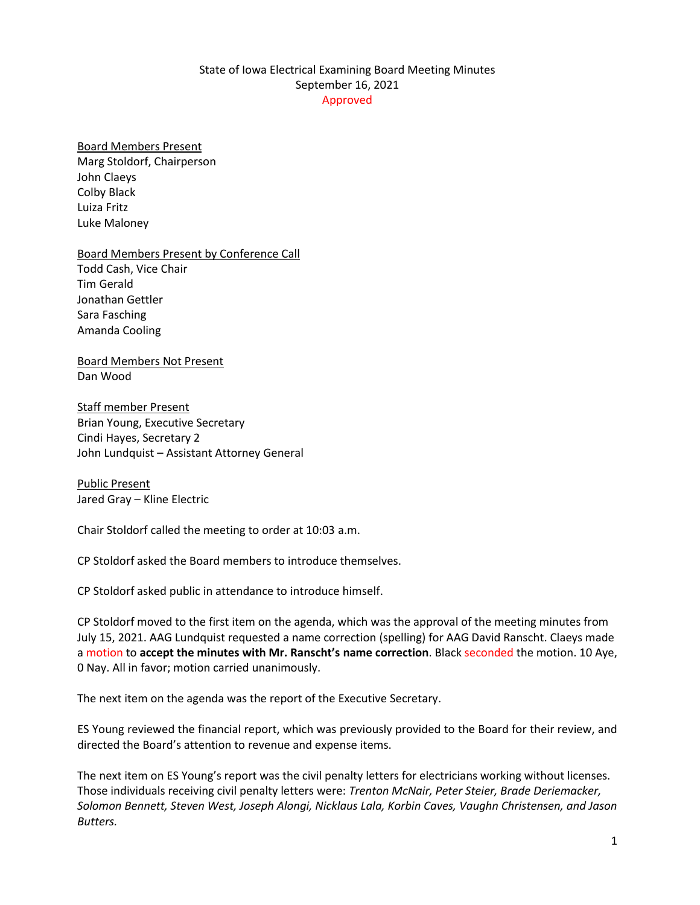## State of Iowa Electrical Examining Board Meeting Minutes September 16, 2021 Approved

## Board Members Present

Marg Stoldorf, Chairperson John Claeys Colby Black Luiza Fritz Luke Maloney

Board Members Present by Conference Call Todd Cash, Vice Chair Tim Gerald Jonathan Gettler Sara Fasching Amanda Cooling

Board Members Not Present Dan Wood

Staff member Present Brian Young, Executive Secretary Cindi Hayes, Secretary 2 John Lundquist – Assistant Attorney General

Public Present Jared Gray – Kline Electric

Chair Stoldorf called the meeting to order at 10:03 a.m.

CP Stoldorf asked the Board members to introduce themselves.

CP Stoldorf asked public in attendance to introduce himself.

CP Stoldorf moved to the first item on the agenda, which was the approval of the meeting minutes from July 15, 2021. AAG Lundquist requested a name correction (spelling) for AAG David Ranscht. Claeys made a motion to **accept the minutes with Mr. Ranscht's name correction**. Black seconded the motion. 10 Aye, 0 Nay. All in favor; motion carried unanimously.

The next item on the agenda was the report of the Executive Secretary.

ES Young reviewed the financial report, which was previously provided to the Board for their review, and directed the Board's attention to revenue and expense items.

The next item on ES Young's report was the civil penalty letters for electricians working without licenses. Those individuals receiving civil penalty letters were: *Trenton McNair, Peter Steier, Brade Deriemacker, Solomon Bennett, Steven West, Joseph Alongi, Nicklaus Lala, Korbin Caves, Vaughn Christensen, and Jason Butters.*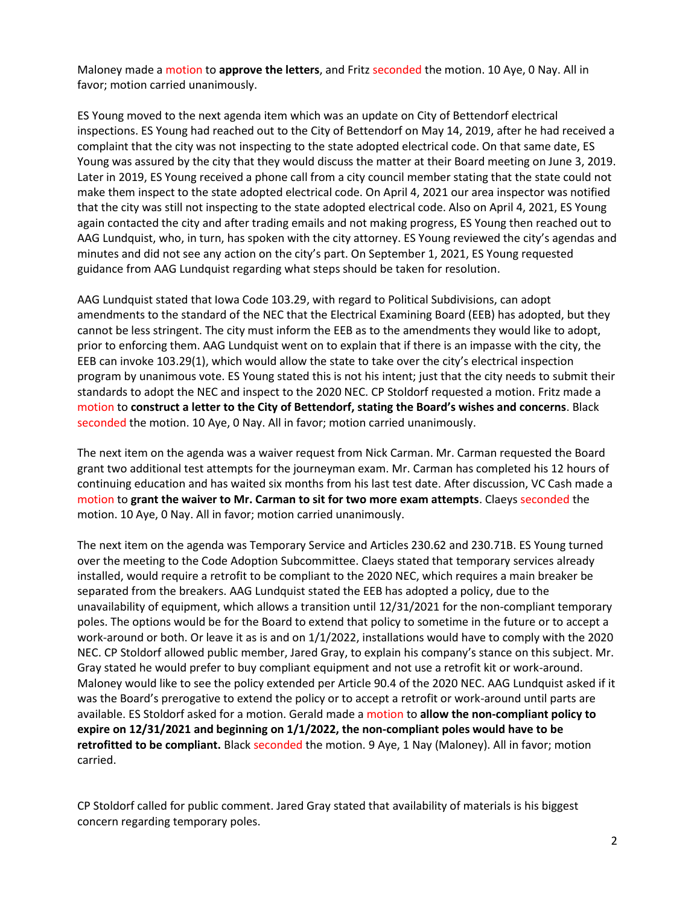Maloney made a motion to **approve the letters**, and Fritz seconded the motion. 10 Aye, 0 Nay. All in favor; motion carried unanimously.

ES Young moved to the next agenda item which was an update on City of Bettendorf electrical inspections. ES Young had reached out to the City of Bettendorf on May 14, 2019, after he had received a complaint that the city was not inspecting to the state adopted electrical code. On that same date, ES Young was assured by the city that they would discuss the matter at their Board meeting on June 3, 2019. Later in 2019, ES Young received a phone call from a city council member stating that the state could not make them inspect to the state adopted electrical code. On April 4, 2021 our area inspector was notified that the city was still not inspecting to the state adopted electrical code. Also on April 4, 2021, ES Young again contacted the city and after trading emails and not making progress, ES Young then reached out to AAG Lundquist, who, in turn, has spoken with the city attorney. ES Young reviewed the city's agendas and minutes and did not see any action on the city's part. On September 1, 2021, ES Young requested guidance from AAG Lundquist regarding what steps should be taken for resolution.

AAG Lundquist stated that Iowa Code 103.29, with regard to Political Subdivisions, can adopt amendments to the standard of the NEC that the Electrical Examining Board (EEB) has adopted, but they cannot be less stringent. The city must inform the EEB as to the amendments they would like to adopt, prior to enforcing them. AAG Lundquist went on to explain that if there is an impasse with the city, the EEB can invoke 103.29(1), which would allow the state to take over the city's electrical inspection program by unanimous vote. ES Young stated this is not his intent; just that the city needs to submit their standards to adopt the NEC and inspect to the 2020 NEC. CP Stoldorf requested a motion. Fritz made a motion to **construct a letter to the City of Bettendorf, stating the Board's wishes and concerns**. Black seconded the motion. 10 Aye, 0 Nay. All in favor; motion carried unanimously.

The next item on the agenda was a waiver request from Nick Carman. Mr. Carman requested the Board grant two additional test attempts for the journeyman exam. Mr. Carman has completed his 12 hours of continuing education and has waited six months from his last test date. After discussion, VC Cash made a motion to **grant the waiver to Mr. Carman to sit for two more exam attempts**. Claeys seconded the motion. 10 Aye, 0 Nay. All in favor; motion carried unanimously.

The next item on the agenda was Temporary Service and Articles 230.62 and 230.71B. ES Young turned over the meeting to the Code Adoption Subcommittee. Claeys stated that temporary services already installed, would require a retrofit to be compliant to the 2020 NEC, which requires a main breaker be separated from the breakers. AAG Lundquist stated the EEB has adopted a policy, due to the unavailability of equipment, which allows a transition until 12/31/2021 for the non-compliant temporary poles. The options would be for the Board to extend that policy to sometime in the future or to accept a work-around or both. Or leave it as is and on 1/1/2022, installations would have to comply with the 2020 NEC. CP Stoldorf allowed public member, Jared Gray, to explain his company's stance on this subject. Mr. Gray stated he would prefer to buy compliant equipment and not use a retrofit kit or work-around. Maloney would like to see the policy extended per Article 90.4 of the 2020 NEC. AAG Lundquist asked if it was the Board's prerogative to extend the policy or to accept a retrofit or work-around until parts are available. ES Stoldorf asked for a motion. Gerald made a motion to **allow the non-compliant policy to expire on 12/31/2021 and beginning on 1/1/2022, the non-compliant poles would have to be retrofitted to be compliant.** Black seconded the motion. 9 Aye, 1 Nay (Maloney). All in favor; motion carried.

CP Stoldorf called for public comment. Jared Gray stated that availability of materials is his biggest concern regarding temporary poles.